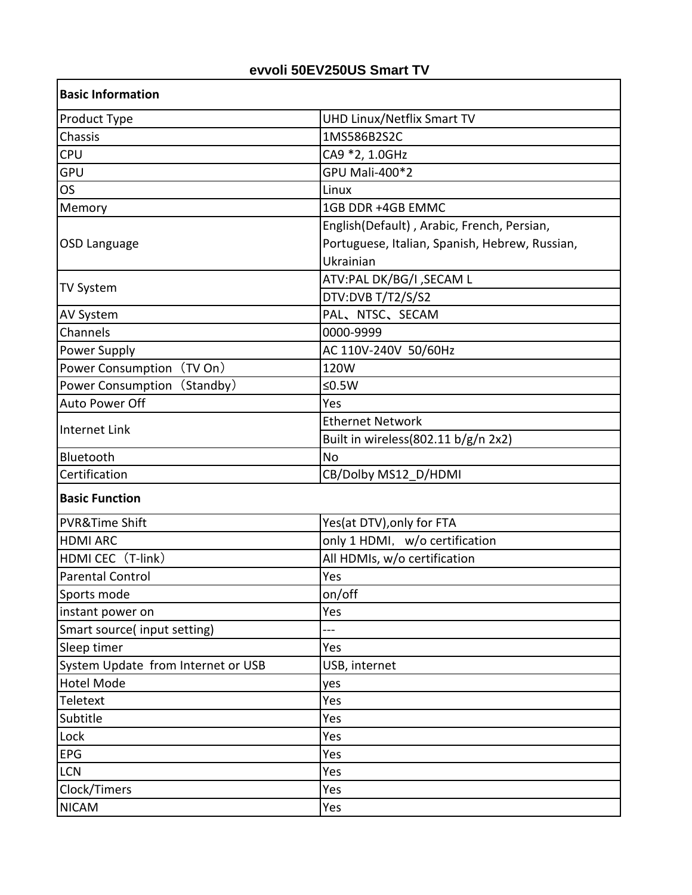## **evvoli 50EV250US Smart TV**

| <b>Basic Information</b>              |                                                |
|---------------------------------------|------------------------------------------------|
| Product Type                          | <b>UHD Linux/Netflix Smart TV</b>              |
| Chassis                               | 1MS586B2S2C                                    |
| <b>CPU</b>                            | CA9 *2, 1.0GHz                                 |
| <b>GPU</b>                            | <b>GPU Mali-400*2</b>                          |
| <b>OS</b>                             | Linux                                          |
| Memory                                | 1GB DDR +4GB EMMC                              |
| OSD Language                          | English(Default), Arabic, French, Persian,     |
|                                       | Portuguese, Italian, Spanish, Hebrew, Russian, |
|                                       | Ukrainian                                      |
|                                       | ATV:PAL DK/BG/I , SECAM L                      |
| <b>TV System</b>                      | DTV:DVB T/T2/S/S2                              |
| <b>AV System</b>                      | PAL, NTSC, SECAM                               |
| Channels                              | 0000-9999                                      |
| Power Supply                          | AC 110V-240V 50/60Hz                           |
| (TV On)<br><b>Power Consumption</b>   | 120W                                           |
| <b>Power Consumption</b><br>(Standby) | $≤0.5W$                                        |
| Auto Power Off                        | Yes                                            |
|                                       | <b>Ethernet Network</b>                        |
| Internet Link                         | Built in wireless(802.11 b/g/n 2x2)            |
| Bluetooth                             | No                                             |
| Certification                         | CB/Dolby MS12 D/HDMI                           |
| <b>Basic Function</b>                 |                                                |
| <b>PVR&amp;Time Shift</b>             | Yes(at DTV), only for FTA                      |
| <b>HDMI ARC</b>                       | only 1 HDMI, w/o certification                 |
| HDMI CEC (T-link)                     | All HDMIs, w/o certification                   |
| <b>Parental Control</b>               | Yes                                            |
| Sports mode                           | on/off                                         |
| instant power on                      | Yes                                            |
| Smart source(input setting)           | ---                                            |
| Sleep timer                           | Yes                                            |
| System Update from Internet or USB    | USB, internet                                  |
| <b>Hotel Mode</b>                     | yes                                            |
| Teletext                              | Yes                                            |
| Subtitle                              | Yes                                            |
| Lock                                  | Yes                                            |
| EPG                                   | Yes                                            |
| <b>LCN</b>                            | Yes                                            |
| Clock/Timers                          | Yes                                            |
| <b>NICAM</b>                          | Yes                                            |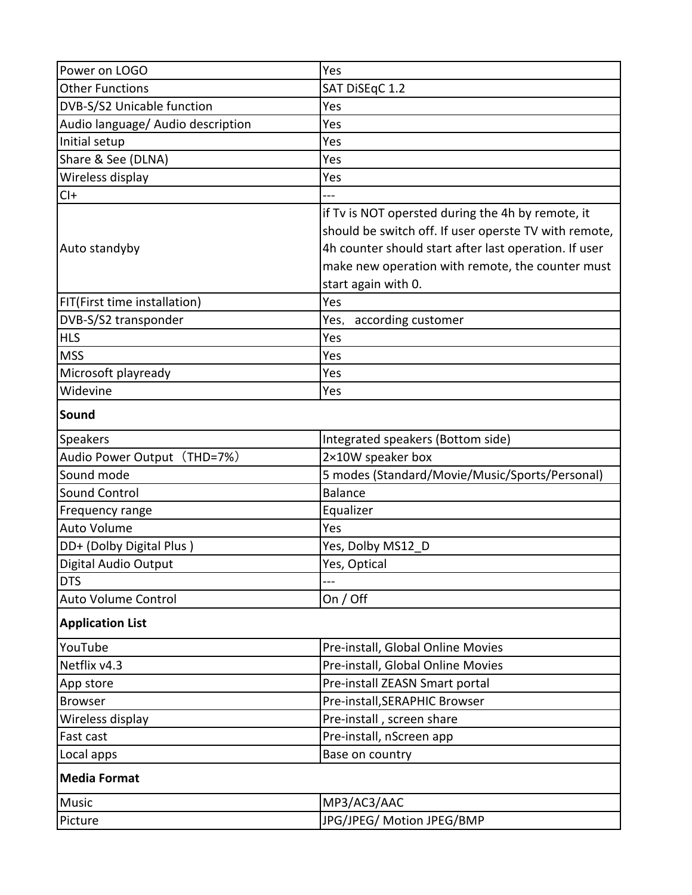| Power on LOGO                     | Yes                                                                                                        |
|-----------------------------------|------------------------------------------------------------------------------------------------------------|
| <b>Other Functions</b>            | SAT DiSEqC 1.2                                                                                             |
| DVB-S/S2 Unicable function        | Yes                                                                                                        |
| Audio language/ Audio description | Yes                                                                                                        |
| Initial setup                     | Yes                                                                                                        |
| Share & See (DLNA)                | Yes                                                                                                        |
| Wireless display                  | Yes                                                                                                        |
| $Cl +$                            |                                                                                                            |
|                                   | if Tv is NOT opersted during the 4h by remote, it<br>should be switch off. If user operste TV with remote, |
| Auto standyby                     | 4h counter should start after last operation. If user                                                      |
|                                   | make new operation with remote, the counter must                                                           |
|                                   | start again with 0.                                                                                        |
| FIT(First time installation)      | Yes                                                                                                        |
| DVB-S/S2 transponder              | according customer<br>Yes,                                                                                 |
| <b>HLS</b>                        | Yes                                                                                                        |
| <b>MSS</b>                        | Yes                                                                                                        |
| Microsoft playready               | Yes                                                                                                        |
| Widevine                          | Yes                                                                                                        |
| Sound                             |                                                                                                            |
| Speakers                          | Integrated speakers (Bottom side)                                                                          |
| Audio Power Output (THD=7%)       | 2×10W speaker box                                                                                          |
| Sound mode                        | 5 modes (Standard/Movie/Music/Sports/Personal)                                                             |
| <b>Sound Control</b>              | <b>Balance</b>                                                                                             |
| Frequency range                   | Equalizer                                                                                                  |
| <b>Auto Volume</b>                | Yes                                                                                                        |
| DD+ (Dolby Digital Plus)          | Yes, Dolby MS12_D                                                                                          |
| Digital Audio Output              | Yes, Optical                                                                                               |
| <b>DTS</b>                        |                                                                                                            |
| <b>Auto Volume Control</b>        | On / Off                                                                                                   |
| <b>Application List</b>           |                                                                                                            |
| YouTube                           | Pre-install, Global Online Movies                                                                          |
| Netflix v4.3                      | Pre-install, Global Online Movies                                                                          |
| App store                         | Pre-install ZEASN Smart portal                                                                             |
| <b>Browser</b>                    | Pre-install, SERAPHIC Browser                                                                              |
| Wireless display                  | Pre-install, screen share                                                                                  |
| <b>Fast cast</b>                  | Pre-install, nScreen app                                                                                   |
| Local apps                        | Base on country                                                                                            |
| <b>Media Format</b>               |                                                                                                            |
| <b>Music</b>                      | MP3/AC3/AAC                                                                                                |
| Picture                           | JPG/JPEG/ Motion JPEG/BMP                                                                                  |
|                                   |                                                                                                            |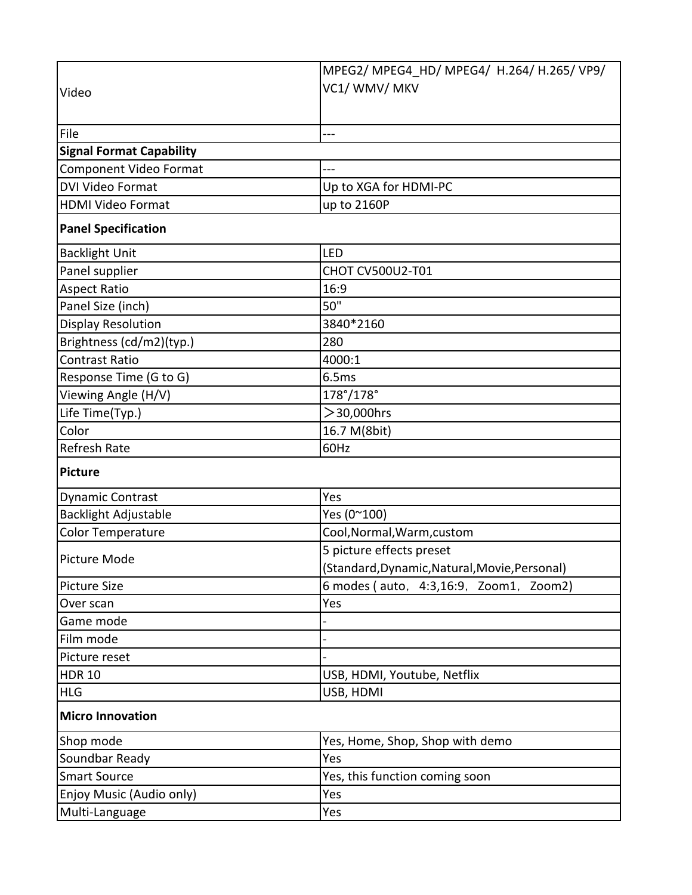|                                                   | MPEG2/ MPEG4 HD/ MPEG4/ H.264/ H.265/ VP9/    |
|---------------------------------------------------|-----------------------------------------------|
| Video                                             | VC1/ WMV/ MKV                                 |
|                                                   |                                               |
| File                                              | ---                                           |
| <b>Signal Format Capability</b>                   |                                               |
|                                                   |                                               |
| Component Video Format<br><b>DVI Video Format</b> |                                               |
|                                                   | Up to XGA for HDMI-PC                         |
| <b>HDMI Video Format</b>                          | up to 2160P                                   |
| <b>Panel Specification</b>                        |                                               |
| <b>Backlight Unit</b>                             | <b>LED</b>                                    |
| Panel supplier                                    | CHOT CV500U2-T01                              |
| <b>Aspect Ratio</b>                               | 16:9                                          |
| Panel Size (inch)                                 | 50"                                           |
| <b>Display Resolution</b>                         | 3840*2160                                     |
| Brightness (cd/m2)(typ.)                          | 280                                           |
| <b>Contrast Ratio</b>                             | 4000:1                                        |
| Response Time (G to G)                            | 6.5ms                                         |
| Viewing Angle (H/V)                               | $178^{\circ}/178^{\circ}$                     |
| Life Time(Typ.)                                   | $>$ 30,000hrs                                 |
| Color                                             | 16.7 M(8bit)                                  |
| <b>Refresh Rate</b>                               | 60Hz                                          |
| Picture                                           |                                               |
| <b>Dynamic Contrast</b>                           | Yes                                           |
| <b>Backlight Adjustable</b>                       | Yes (0~100)                                   |
| Color Temperature                                 | Cool, Normal, Warm, custom                    |
| <b>Picture Mode</b>                               | 5 picture effects preset                      |
|                                                   | (Standard, Dynamic, Natural, Movie, Personal) |
| <b>Picture Size</b>                               | 6 modes (auto, 4:3,16:9, Zoom1, Zoom2)        |
| Over scan                                         | Yes                                           |
| Game mode                                         |                                               |
| Film mode                                         |                                               |
| Picture reset                                     |                                               |
| <b>HDR 10</b>                                     | USB, HDMI, Youtube, Netflix                   |
| <b>HLG</b>                                        | USB, HDMI                                     |
| <b>Micro Innovation</b>                           |                                               |
| Shop mode                                         | Yes, Home, Shop, Shop with demo               |
| Soundbar Ready                                    | Yes                                           |
| <b>Smart Source</b>                               | Yes, this function coming soon                |
| Enjoy Music (Audio only)                          | Yes                                           |
| Multi-Language                                    | Yes                                           |